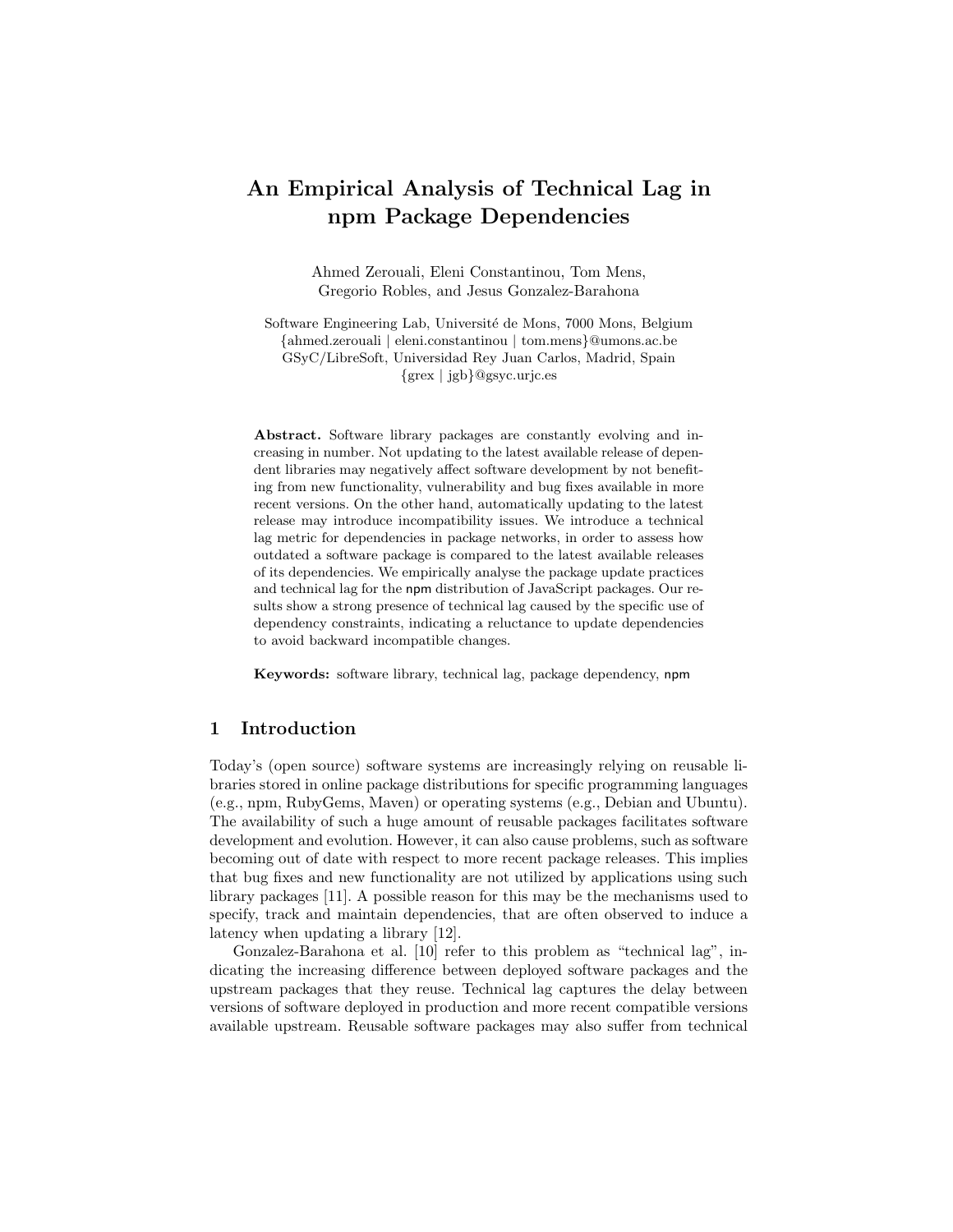# An Empirical Analysis of Technical Lag in npm Package Dependencies

Ahmed Zerouali, Eleni Constantinou, Tom Mens, Gregorio Robles, and Jesus Gonzalez-Barahona

Software Engineering Lab, Université de Mons, 7000 Mons, Belgium {ahmed.zerouali | eleni.constantinou | tom.mens}@umons.ac.be GSyC/LibreSoft, Universidad Rey Juan Carlos, Madrid, Spain {grex | jgb}@gsyc.urjc.es

Abstract. Software library packages are constantly evolving and increasing in number. Not updating to the latest available release of dependent libraries may negatively affect software development by not benefiting from new functionality, vulnerability and bug fixes available in more recent versions. On the other hand, automatically updating to the latest release may introduce incompatibility issues. We introduce a technical lag metric for dependencies in package networks, in order to assess how outdated a software package is compared to the latest available releases of its dependencies. We empirically analyse the package update practices and technical lag for the npm distribution of JavaScript packages. Our results show a strong presence of technical lag caused by the specific use of dependency constraints, indicating a reluctance to update dependencies to avoid backward incompatible changes.

Keywords: software library, technical lag, package dependency, npm

### 1 Introduction

Today's (open source) software systems are increasingly relying on reusable libraries stored in online package distributions for specific programming languages (e.g., npm, RubyGems, Maven) or operating systems (e.g., Debian and Ubuntu). The availability of such a huge amount of reusable packages facilitates software development and evolution. However, it can also cause problems, such as software becoming out of date with respect to more recent package releases. This implies that bug fixes and new functionality are not utilized by applications using such library packages [11]. A possible reason for this may be the mechanisms used to specify, track and maintain dependencies, that are often observed to induce a latency when updating a library [12].

Gonzalez-Barahona et al. [10] refer to this problem as "technical lag", indicating the increasing difference between deployed software packages and the upstream packages that they reuse. Technical lag captures the delay between versions of software deployed in production and more recent compatible versions available upstream. Reusable software packages may also suffer from technical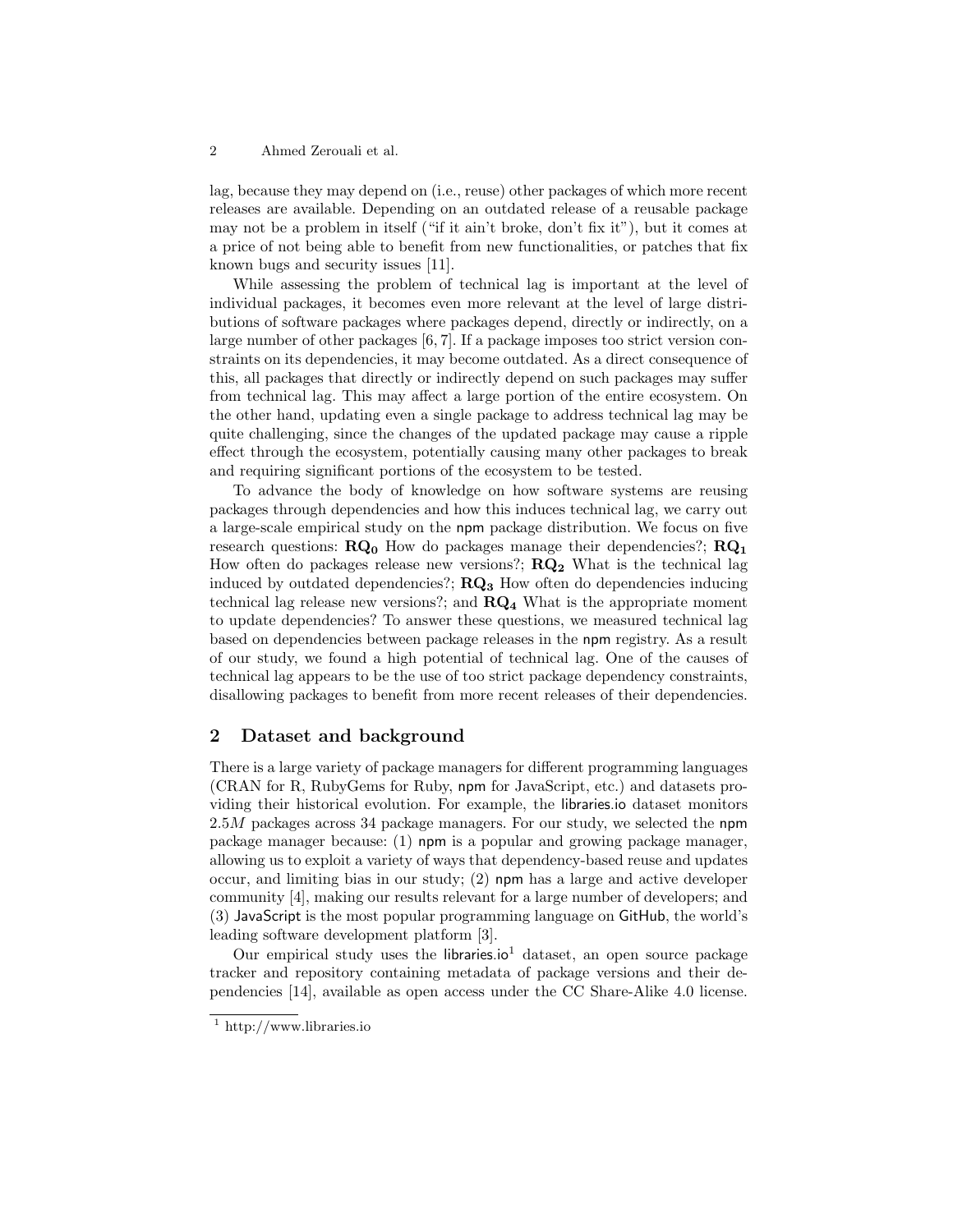lag, because they may depend on (i.e., reuse) other packages of which more recent releases are available. Depending on an outdated release of a reusable package may not be a problem in itself ("if it ain't broke, don't fix it"), but it comes at a price of not being able to benefit from new functionalities, or patches that fix known bugs and security issues [11].

While assessing the problem of technical lag is important at the level of individual packages, it becomes even more relevant at the level of large distributions of software packages where packages depend, directly or indirectly, on a large number of other packages [6, 7]. If a package imposes too strict version constraints on its dependencies, it may become outdated. As a direct consequence of this, all packages that directly or indirectly depend on such packages may suffer from technical lag. This may affect a large portion of the entire ecosystem. On the other hand, updating even a single package to address technical lag may be quite challenging, since the changes of the updated package may cause a ripple effect through the ecosystem, potentially causing many other packages to break and requiring significant portions of the ecosystem to be tested.

To advance the body of knowledge on how software systems are reusing packages through dependencies and how this induces technical lag, we carry out a large-scale empirical study on the npm package distribution. We focus on five research questions:  $\mathbf{RQ_0}$  How do packages manage their dependencies?;  $\mathbf{RQ_1}$ How often do packages release new versions?;  $RQ_2$  What is the technical lag induced by outdated dependencies?;  $RQ_3$  How often do dependencies inducing technical lag release new versions?; and  $RQ_4$  What is the appropriate moment to update dependencies? To answer these questions, we measured technical lag based on dependencies between package releases in the npm registry. As a result of our study, we found a high potential of technical lag. One of the causes of technical lag appears to be the use of too strict package dependency constraints, disallowing packages to benefit from more recent releases of their dependencies.

# 2 Dataset and background

There is a large variety of package managers for different programming languages (CRAN for R, RubyGems for Ruby, npm for JavaScript, etc.) and datasets providing their historical evolution. For example, the libraries.io dataset monitors 2.5M packages across 34 package managers. For our study, we selected the npm package manager because: (1) npm is a popular and growing package manager, allowing us to exploit a variety of ways that dependency-based reuse and updates occur, and limiting bias in our study; (2) npm has a large and active developer community [4], making our results relevant for a large number of developers; and (3) JavaScript is the most popular programming language on GitHub, the world's leading software development platform [3].

Our empirical study uses the libraries.io<sup>1</sup> dataset, an open source package tracker and repository containing metadata of package versions and their dependencies [14], available as open access under the CC Share-Alike 4.0 license.

<sup>1</sup> http://www.libraries.io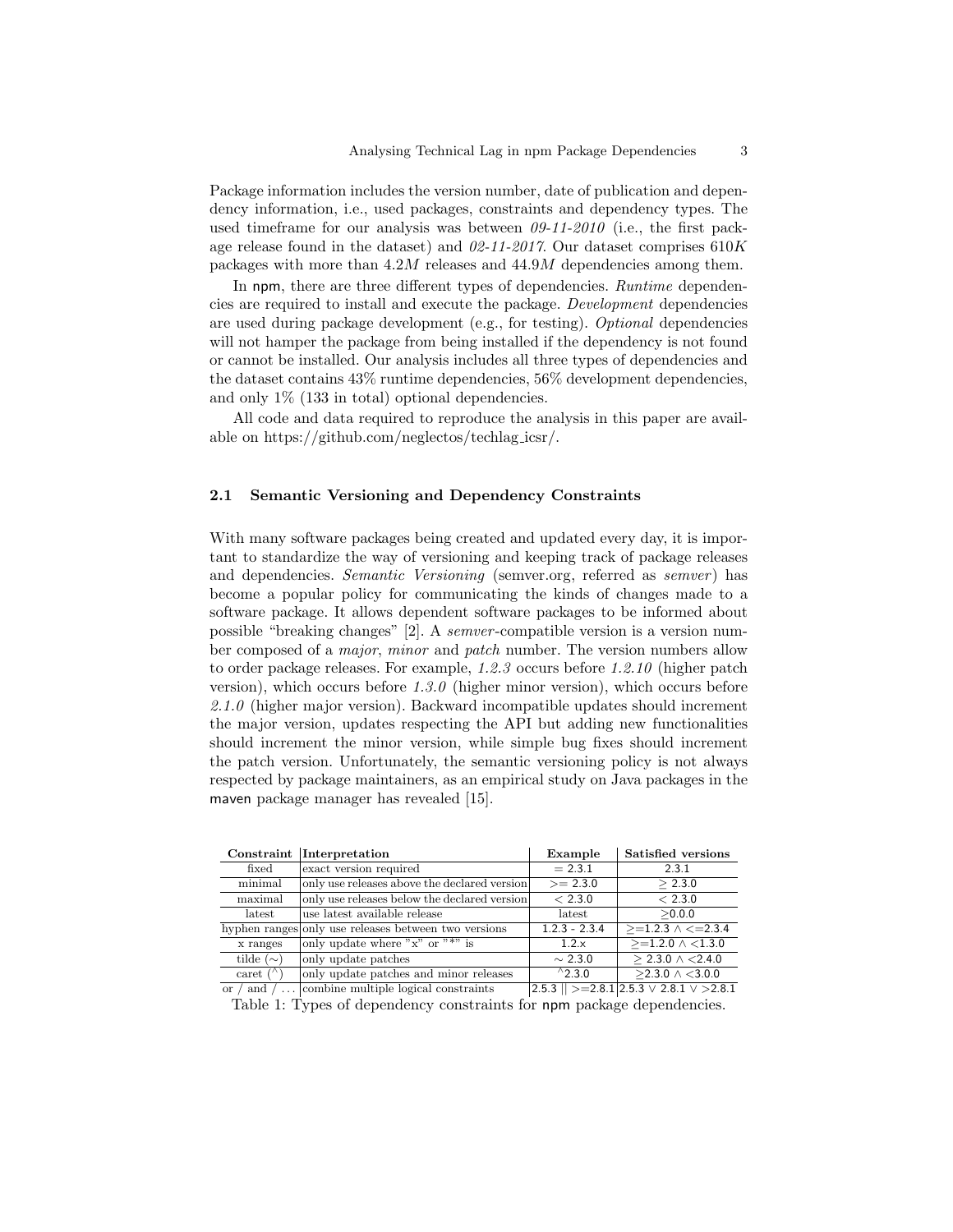Package information includes the version number, date of publication and dependency information, i.e., used packages, constraints and dependency types. The used timeframe for our analysis was between  $09-11-2010$  (i.e., the first package release found in the dataset) and  $02-11-2017$ . Our dataset comprises  $610K$ packages with more than 4.2M releases and 44.9M dependencies among them.

In npm, there are three different types of dependencies. Runtime dependencies are required to install and execute the package. Development dependencies are used during package development (e.g., for testing). Optional dependencies will not hamper the package from being installed if the dependency is not found or cannot be installed. Our analysis includes all three types of dependencies and the dataset contains 43% runtime dependencies, 56% development dependencies, and only 1% (133 in total) optional dependencies.

All code and data required to reproduce the analysis in this paper are available on https://github.com/neglectos/techlag icsr/.

### 2.1 Semantic Versioning and Dependency Constraints

With many software packages being created and updated every day, it is important to standardize the way of versioning and keeping track of package releases and dependencies. Semantic Versioning (semver.org, referred as semver) has become a popular policy for communicating the kinds of changes made to a software package. It allows dependent software packages to be informed about possible "breaking changes" [2]. A semver -compatible version is a version number composed of a major, minor and patch number. The version numbers allow to order package releases. For example, 1.2.3 occurs before 1.2.10 (higher patch version), which occurs before  $1.3.0$  (higher minor version), which occurs before 2.1.0 (higher major version). Backward incompatible updates should increment the major version, updates respecting the API but adding new functionalities should increment the minor version, while simple bug fixes should increment the patch version. Unfortunately, the semantic versioning policy is not always respected by package maintainers, as an empirical study on Java packages in the maven package manager has revealed [15].

|                   | Constraint Interpretation                            | Example         | Satisfied versions                                   |
|-------------------|------------------------------------------------------|-----------------|------------------------------------------------------|
| fixed             | exact version required                               | $= 2.3.1$       | 2.3.1                                                |
| minimal           | only use releases above the declared version         | $>= 2.3.0$      | > 2.3.0                                              |
| maximal           | only use releases below the declared version         | < 2.3.0         | < 2.3.0                                              |
| latest            | use latest available release                         | latest          | >0.0.0                                               |
|                   | hyphen ranges only use releases between two versions | $1.2.3 - 2.3.4$ | $>=1.2.3 \wedge \langle =2.3.4$                      |
| x ranges          | only update where " $x$ " or " $*$ " is              | 1.2.x           | $>=1.2.0 \wedge <1.3.0$                              |
| tilde $(\sim)$    | only update patches                                  | $\sim$ 2.3.0    | $> 2.3.0 \wedge \langle 2.4.0$                       |
| caret $(^\wedge)$ | only update patches and minor releases               | $^{4}2.3.0$     | $>2.3.0 \land <3.0.0$                                |
| and /<br>$\alpha$ | combine multiple logical constraints                 |                 | $ 2.5.3 $ $ >=$ 2.8.1 $ 2.5.3 \vee 2.8.1 \vee 2.8.1$ |

Table 1: Types of dependency constraints for npm package dependencies.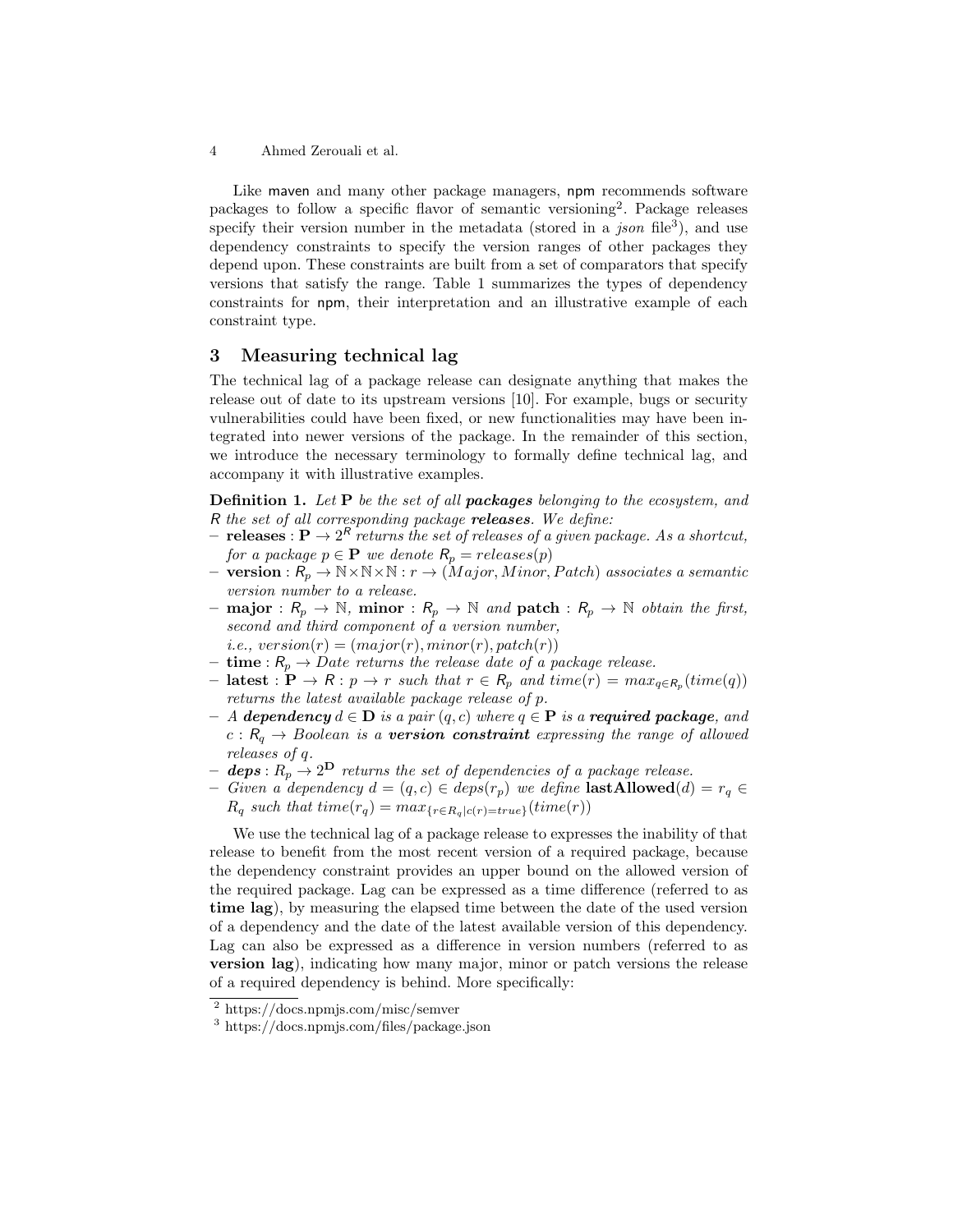Like maven and many other package managers, npm recommends software packages to follow a specific flavor of semantic versioning<sup>2</sup> . Package releases specify their version number in the metadata (stored in a *json* file<sup>3</sup>), and use dependency constraints to specify the version ranges of other packages they depend upon. These constraints are built from a set of comparators that specify versions that satisfy the range. Table 1 summarizes the types of dependency constraints for npm, their interpretation and an illustrative example of each constraint type.

### 3 Measuring technical lag

The technical lag of a package release can designate anything that makes the release out of date to its upstream versions [10]. For example, bugs or security vulnerabilities could have been fixed, or new functionalities may have been integrated into newer versions of the package. In the remainder of this section, we introduce the necessary terminology to formally define technical lag, and accompany it with illustrative examples.

**Definition 1.** Let  $P$  be the set of all **packages** belonging to the ecosystem, and R the set of all corresponding package releases. We define:

- $-$  **releases** :  $\mathbf{P} \rightarrow 2^R$  *returns the set of releases of a given package. As a shortcut,* for a package  $p \in \mathbf{P}$  we denote  $R_p = rel$ eases $(p)$
- $-$  version :  $R_p \to \mathbb{N} \times \mathbb{N} \times \mathbb{N}$  :  $r \to (Major, Minor, Patch)$  associates a semantic version number to a release.
- major :  $R_p \to \mathbb{N}$ , minor :  $R_p \to \mathbb{N}$  and patch :  $R_p \to \mathbb{N}$  obtain the first, second and third component of a version number, *i.e.*,  $version(r) = (major(r), minor(r), patch(r))$
- time :  $R_p \rightarrow Date$  returns the release date of a package release.
- $-$  latest :  $P \to R : p \to r$  such that  $r \in R_p$  and time(r) =  $max_{q \in R_p}(time(q))$ returns the latest available package release of p.
- $− A$  dependency  $d ∈ D$  is a pair  $(q, c)$  where  $q ∈ P$  is a required package, and  $c: R_q \rightarrow Boolean$  is a version constraint expressing the range of allowed releases of q.
- $-$  **deps**:  $R_p \rightarrow 2^D$  returns the set of dependencies of a package release.
- Given a dependency  $d = (q, c) \in \text{deeps}(r_p)$  we define last Allowed $(d) = r_q \in$  $R_q$  such that time( $r_q$ ) =  $max_{\{r \in R_q | c(r) = true\}}(time(r))$

We use the technical lag of a package release to expresses the inability of that release to benefit from the most recent version of a required package, because the dependency constraint provides an upper bound on the allowed version of the required package. Lag can be expressed as a time difference (referred to as time lag), by measuring the elapsed time between the date of the used version of a dependency and the date of the latest available version of this dependency. Lag can also be expressed as a difference in version numbers (referred to as version lag), indicating how many major, minor or patch versions the release of a required dependency is behind. More specifically:

<sup>2</sup> https://docs.npmjs.com/misc/semver

<sup>3</sup> https://docs.npmjs.com/files/package.json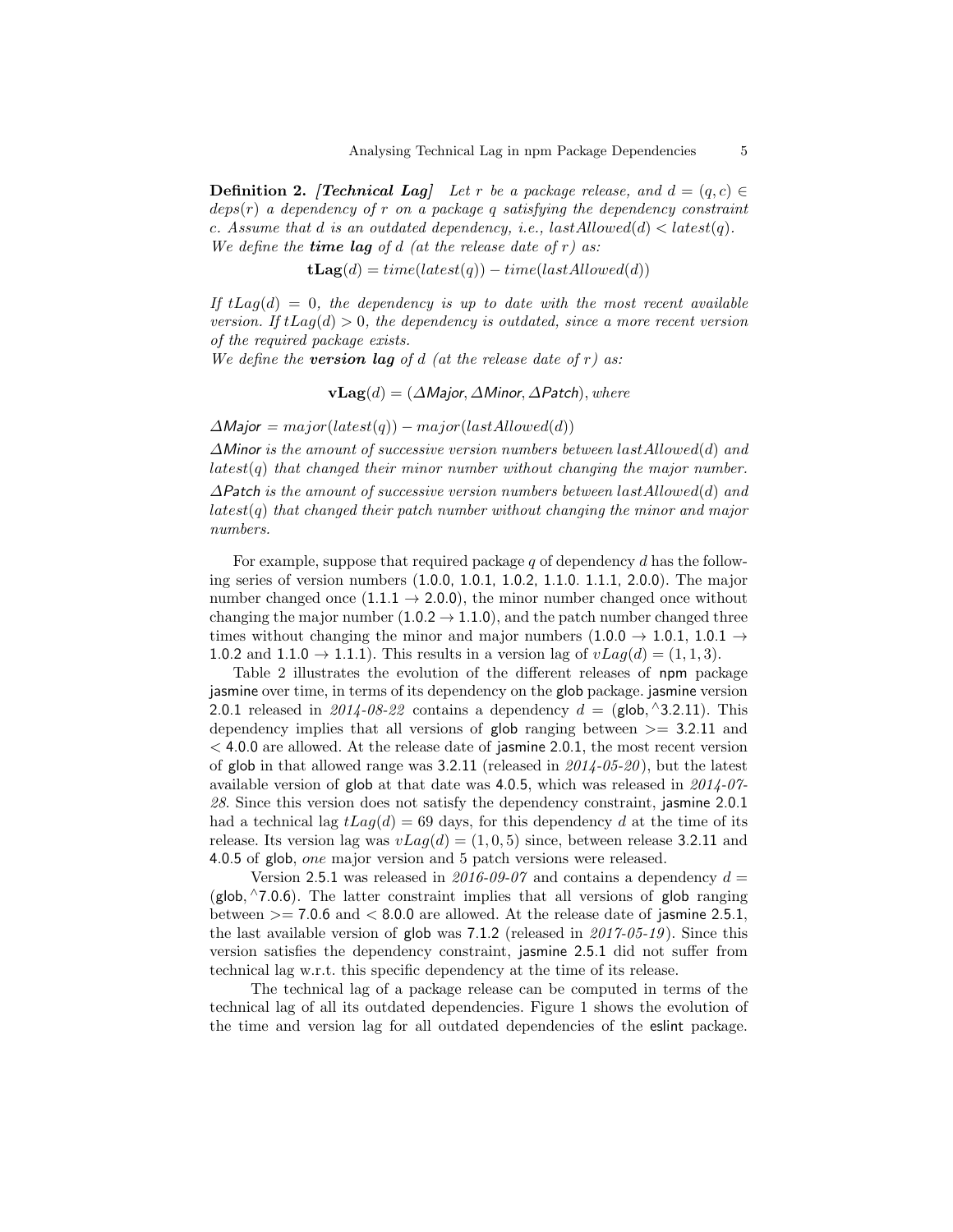**Definition 2.** [Technical Lag] Let r be a package release, and  $d = (q, c) \in$  $deps(r)$  a dependency of r on a package q satisfying the dependency constraint c. Assume that d is an outdated dependency, i.e., lastAllowed(d) < latest(q). We define the **time lag** of d (at the release date of  $r$ ) as:

 $\mathbf{tLag}(d) = time(latest(q)) - time(lastAllowed(d))$ 

If  $tLaq(d) = 0$ , the dependency is up to date with the most recent available version. If  $tLag(d) > 0$ , the dependency is outdated, since a more recent version of the required package exists.

We define the **version lag** of d (at the release date of  $r$ ) as:

$$
\mathbf{vLag}(d) = (\Delta \text{Major}, \Delta \text{Minor}, \Delta \text{Patch}), where
$$

 $\Delta$ Major = major(latest(q)) – major(lastAllowed(d))

 $\Delta$ Minor is the amount of successive version numbers between lastAllowed(d) and  $latest(q)$  that changed their minor number without changing the major number.  $\Delta$ Patch is the amount of successive version numbers between lastAllowed(d) and  $latest(q)$  that changed their patch number without changing the minor and major numbers.

For example, suppose that required package q of dependency d has the following series of version numbers (1.0.0, 1.0.1, 1.0.2, 1.1.0. 1.1.1, 2.0.0). The major number changed once  $(1.1.1 \rightarrow 2.0.0)$ , the minor number changed once without changing the major number  $(1.0.2 \rightarrow 1.1.0)$ , and the patch number changed three times without changing the minor and major numbers  $(1.0.0 \rightarrow 1.0.1, 1.0.1 \rightarrow$ 1.0.2 and 1.1.0  $\rightarrow$  1.1.1). This results in a version lag of  $vLag(d) = (1, 1, 3)$ .

Table 2 illustrates the evolution of the different releases of npm package jasmine over time, in terms of its dependency on the glob package. jasmine version 2.0.1 released in 2014-08-22 contains a dependency  $d = (glob, ^{^{\wedge}}3.2.11)$ . This dependency implies that all versions of glob ranging between  $\geq$  3.2.11 and  $\leq$  4.0.0 are allowed. At the release date of jasmine 2.0.1, the most recent version of glob in that allowed range was  $3.2.11$  (released in  $2014-05-20$ ), but the latest available version of glob at that date was 4.0.5, which was released in  $2014-07$ -28. Since this version does not satisfy the dependency constraint, jasmine 2.0.1 had a technical lag  $tLag(d) = 69$  days, for this dependency d at the time of its release. Its version lag was  $vLag(d) = (1, 0, 5)$  since, between release 3.2.11 and 4.0.5 of glob, *one* major version and 5 patch versions were released.

Version 2.5.1 was released in 2016-09-07 and contains a dependency  $d =$ (glob, <sup>∧</sup>7.0.6). The latter constraint implies that all versions of glob ranging between  $>= 7.0.6$  and  $< 8.0.0$  are allowed. At the release date of jasmine 2.5.1, the last available version of glob was  $7.1.2$  (released in  $2017-05-19$ ). Since this version satisfies the dependency constraint, jasmine 2.5.1 did not suffer from technical lag w.r.t. this specific dependency at the time of its release.

The technical lag of a package release can be computed in terms of the technical lag of all its outdated dependencies. Figure 1 shows the evolution of the time and version lag for all outdated dependencies of the eslint package.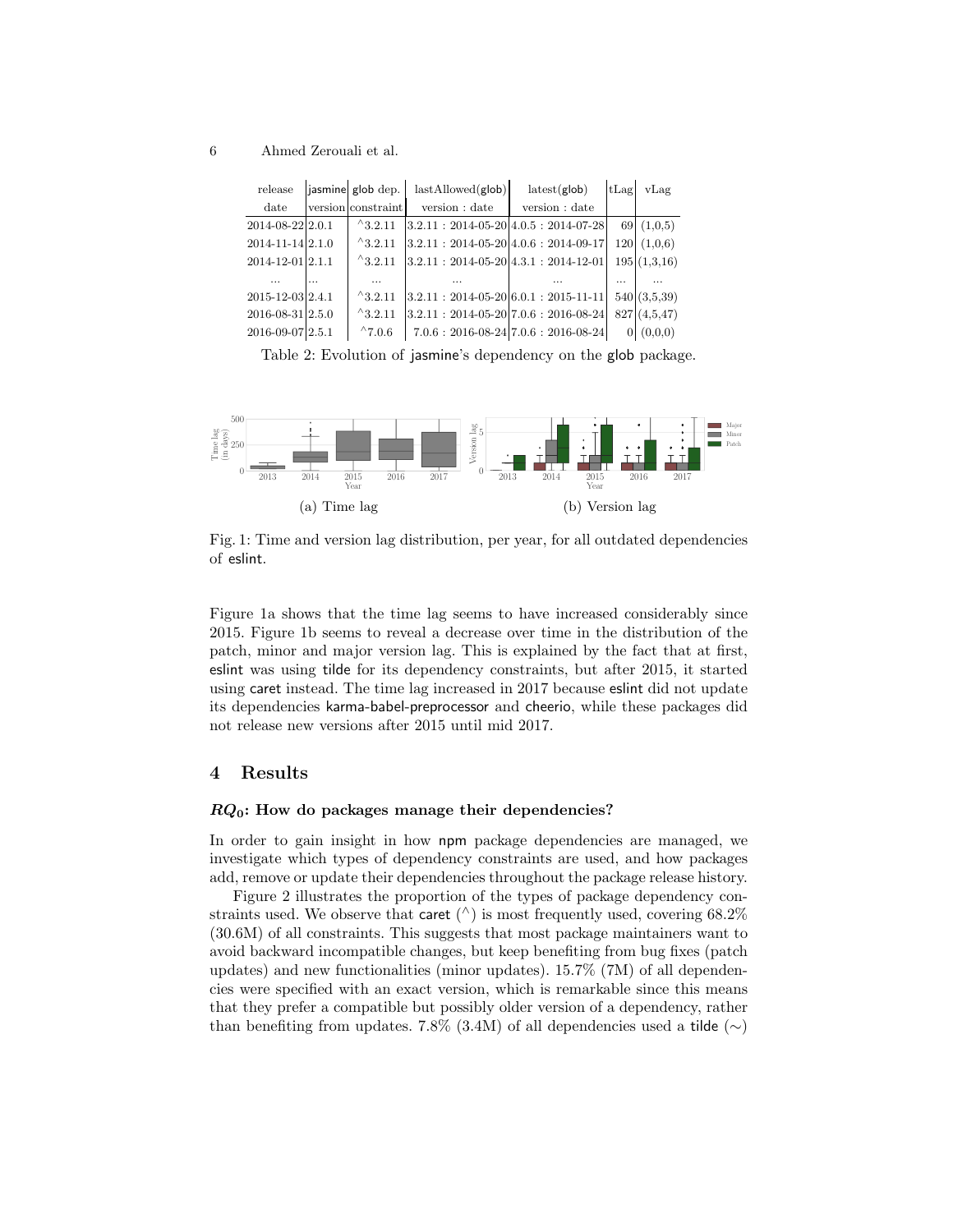6 Ahmed Zerouali et al.

| release                | jasmine glob dep.  | lastAllowed(glob)                      | $\text{latest}(\text{glob})$ | tLag           | vLag         |
|------------------------|--------------------|----------------------------------------|------------------------------|----------------|--------------|
| date                   | version constraint | version : date                         | version : date               |                |              |
| 2014-08-22 2.0.1       | $^{\wedge}3.2.11$  | $ 3.2.11:2014-05-20 4.0.5:2014-07-28 $ |                              |                | 69 $(1,0,5)$ |
| $2014 - 11 - 14$ 2.1.0 | $^{4}3.2.11$       | $ 3.2.11:2014-05-20 4.0.6:2014-09-17 $ |                              |                | 120(1,0.6)   |
| $2014 - 12 - 01$ 2.1.1 | $^{4}3.2.11$       | $3.2.11:2014-05-20$ $4.3.1:2014-12-01$ |                              |                | 195 (1,3,16) |
|                        | <br>$\cdots$       |                                        |                              |                |              |
| 2015-12-03 2.4.1       | $^{4}3.2.11$       | $ 3.2.11:2014-05-20 6.0.1:2015-11-11$  |                              |                | 540(3,5,39)  |
| $2016 - 08 - 31$ 2.5.0 | $^{\wedge}3.2.11$  | $ 3.2.11:2014-05-20 7.0.6:2016-08-24 $ |                              |                | 827 (4,5,47) |
| 2016-09-07 2.5.1       | $^{\wedge}7.0.6$   | $7.0.6:2016-08-24$ $7.0.6:2016-08-24$  |                              | $\overline{0}$ | (0,0,0)      |

Table 2: Evolution of jasmine's dependency on the glob package.



Fig. 1: Time and version lag distribution, per year, for all outdated dependencies of eslint.

Figure 1a shows that the time lag seems to have increased considerably since 2015. Figure 1b seems to reveal a decrease over time in the distribution of the patch, minor and major version lag. This is explained by the fact that at first, eslint was using tilde for its dependency constraints, but after 2015, it started using caret instead. The time lag increased in 2017 because eslint did not update its dependencies karma-babel-preprocessor and cheerio, while these packages did not release new versions after 2015 until mid 2017.

# 4 Results

### $RQ_0$ : How do packages manage their dependencies?

In order to gain insight in how npm package dependencies are managed, we investigate which types of dependency constraints are used, and how packages add, remove or update their dependencies throughout the package release history.

Figure 2 illustrates the proportion of the types of package dependency constraints used. We observe that caret  $(^\wedge)$  is most frequently used, covering 68.2% (30.6M) of all constraints. This suggests that most package maintainers want to avoid backward incompatible changes, but keep benefiting from bug fixes (patch updates) and new functionalities (minor updates). 15.7% (7M) of all dependencies were specified with an exact version, which is remarkable since this means that they prefer a compatible but possibly older version of a dependency, rather than benefiting from updates. 7.8% (3.4M) of all dependencies used a tilde ( $\sim$ )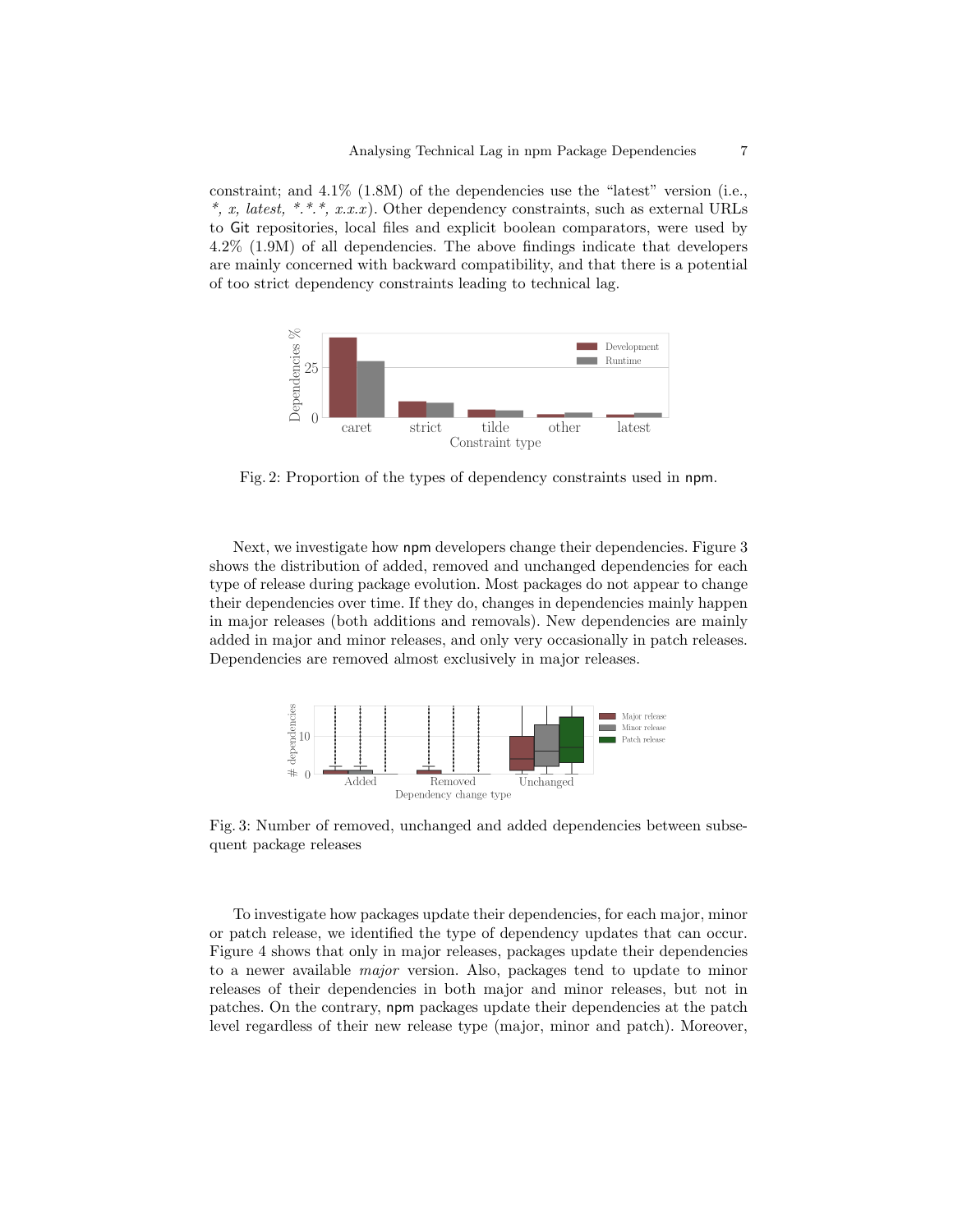constraint; and 4.1% (1.8M) of the dependencies use the "latest" version (i.e., \*, x, latest, \*.\*.\*, x.x.x). Other dependency constraints, such as external URLs to Git repositories, local files and explicit boolean comparators, were used by 4.2% (1.9M) of all dependencies. The above findings indicate that developers are mainly concerned with backward compatibility, and that there is a potential of too strict dependency constraints leading to technical lag.



Fig. 2: Proportion of the types of dependency constraints used in npm.

Next, we investigate how npm developers change their dependencies. Figure 3 shows the distribution of added, removed and unchanged dependencies for each type of release during package evolution. Most packages do not appear to change their dependencies over time. If they do, changes in dependencies mainly happen in major releases (both additions and removals). New dependencies are mainly added in major and minor releases, and only very occasionally in patch releases. Dependencies are removed almost exclusively in major releases.



Fig. 3: Number of removed, unchanged and added dependencies between subsequent package releases

To investigate how packages update their dependencies, for each major, minor or patch release, we identified the type of dependency updates that can occur. Figure 4 shows that only in major releases, packages update their dependencies to a newer available major version. Also, packages tend to update to minor releases of their dependencies in both major and minor releases, but not in patches. On the contrary, npm packages update their dependencies at the patch level regardless of their new release type (major, minor and patch). Moreover,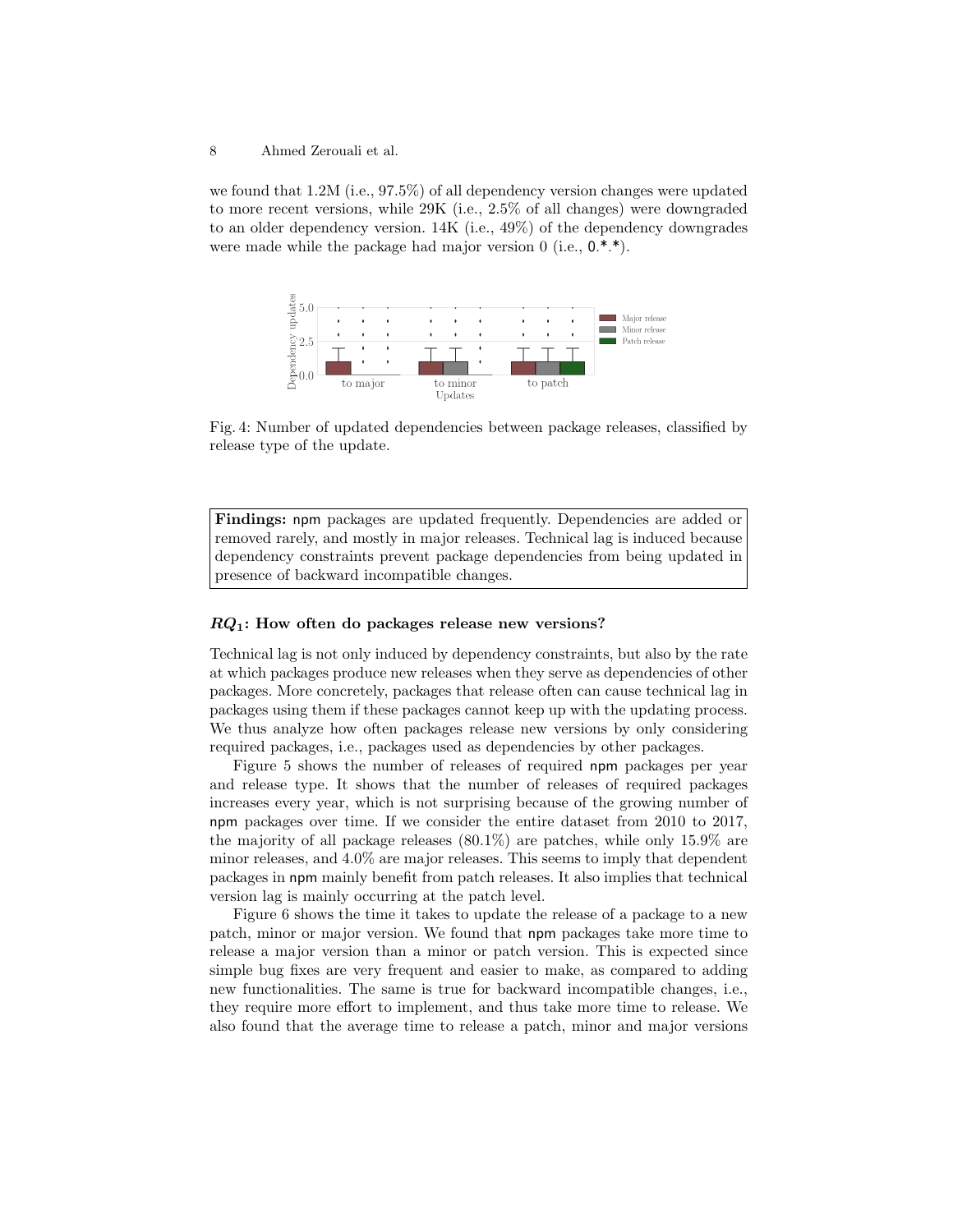we found that 1.2M (i.e., 97.5%) of all dependency version changes were updated to more recent versions, while 29K (i.e., 2.5% of all changes) were downgraded to an older dependency version. 14K (i.e., 49%) of the dependency downgrades were made while the package had major version 0 (i.e.,  $0.*.*$ ).



Fig. 4: Number of updated dependencies between package releases, classified by release type of the update.

Findings: npm packages are updated frequently. Dependencies are added or removed rarely, and mostly in major releases. Technical lag is induced because dependency constraints prevent package dependencies from being updated in presence of backward incompatible changes.

### $RQ_1$ : How often do packages release new versions?

Technical lag is not only induced by dependency constraints, but also by the rate at which packages produce new releases when they serve as dependencies of other packages. More concretely, packages that release often can cause technical lag in packages using them if these packages cannot keep up with the updating process. We thus analyze how often packages release new versions by only considering required packages, i.e., packages used as dependencies by other packages.

Figure 5 shows the number of releases of required npm packages per year and release type. It shows that the number of releases of required packages increases every year, which is not surprising because of the growing number of npm packages over time. If we consider the entire dataset from 2010 to 2017, the majority of all package releases (80.1%) are patches, while only 15.9% are minor releases, and 4.0% are major releases. This seems to imply that dependent packages in npm mainly benefit from patch releases. It also implies that technical version lag is mainly occurring at the patch level.

Figure 6 shows the time it takes to update the release of a package to a new patch, minor or major version. We found that npm packages take more time to release a major version than a minor or patch version. This is expected since simple bug fixes are very frequent and easier to make, as compared to adding new functionalities. The same is true for backward incompatible changes, i.e., they require more effort to implement, and thus take more time to release. We also found that the average time to release a patch, minor and major versions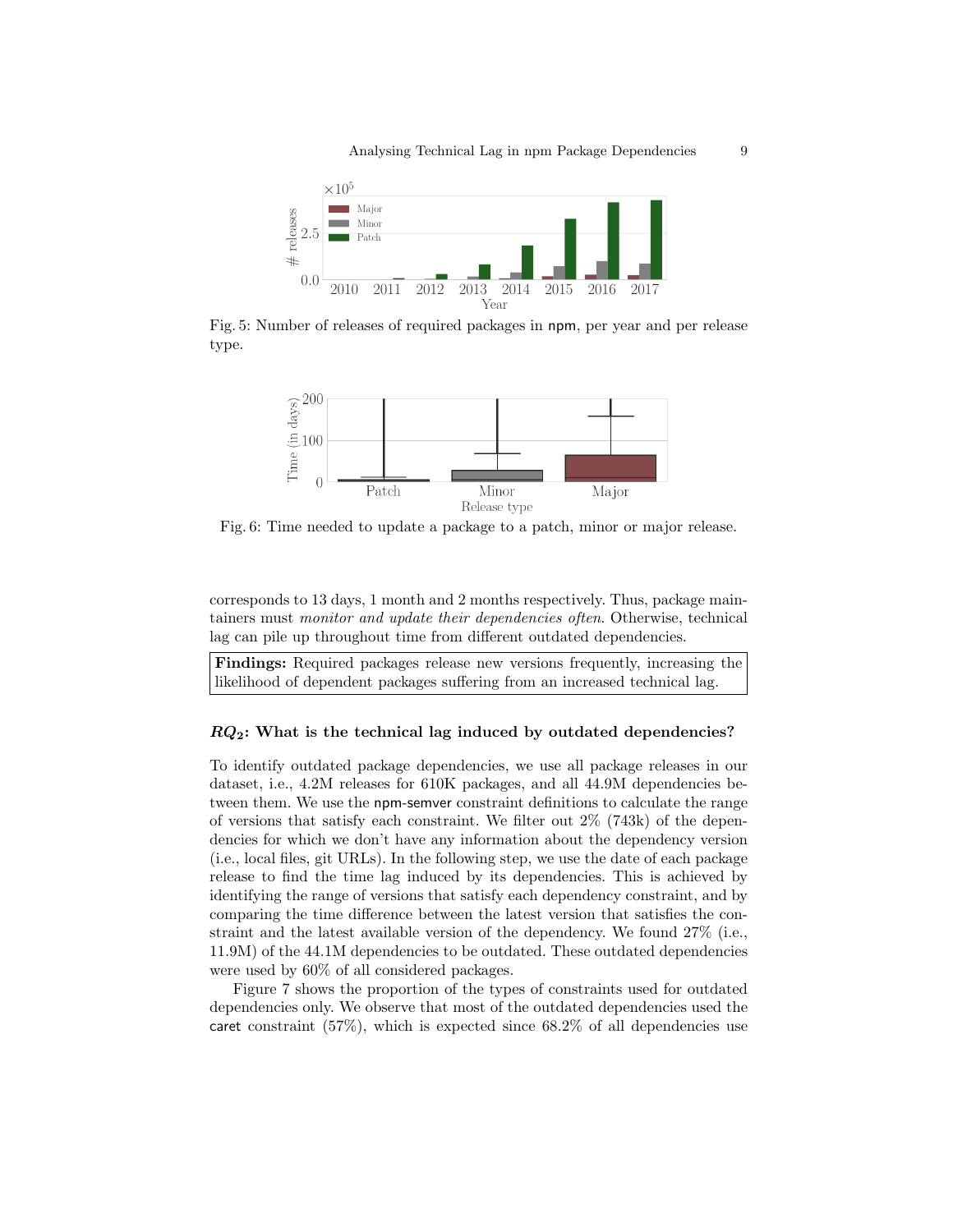

Fig. 5: Number of releases of required packages in npm, per year and per release type.



Fig. 6: Time needed to update a package to a patch, minor or major release.

corresponds to 13 days, 1 month and 2 months respectively. Thus, package maintainers must monitor and update their dependencies often. Otherwise, technical lag can pile up throughout time from different outdated dependencies.

Findings: Required packages release new versions frequently, increasing the likelihood of dependent packages suffering from an increased technical lag.

### $RQ_2$ : What is the technical lag induced by outdated dependencies?

To identify outdated package dependencies, we use all package releases in our dataset, i.e., 4.2M releases for 610K packages, and all 44.9M dependencies between them. We use the npm-semver constraint definitions to calculate the range of versions that satisfy each constraint. We filter out 2% (743k) of the dependencies for which we don't have any information about the dependency version (i.e., local files, git URLs). In the following step, we use the date of each package release to find the time lag induced by its dependencies. This is achieved by identifying the range of versions that satisfy each dependency constraint, and by comparing the time difference between the latest version that satisfies the constraint and the latest available version of the dependency. We found 27% (i.e., 11.9M) of the 44.1M dependencies to be outdated. These outdated dependencies were used by 60% of all considered packages.

Figure 7 shows the proportion of the types of constraints used for outdated dependencies only. We observe that most of the outdated dependencies used the caret constraint  $(57\%)$ , which is expected since  $68.2\%$  of all dependencies use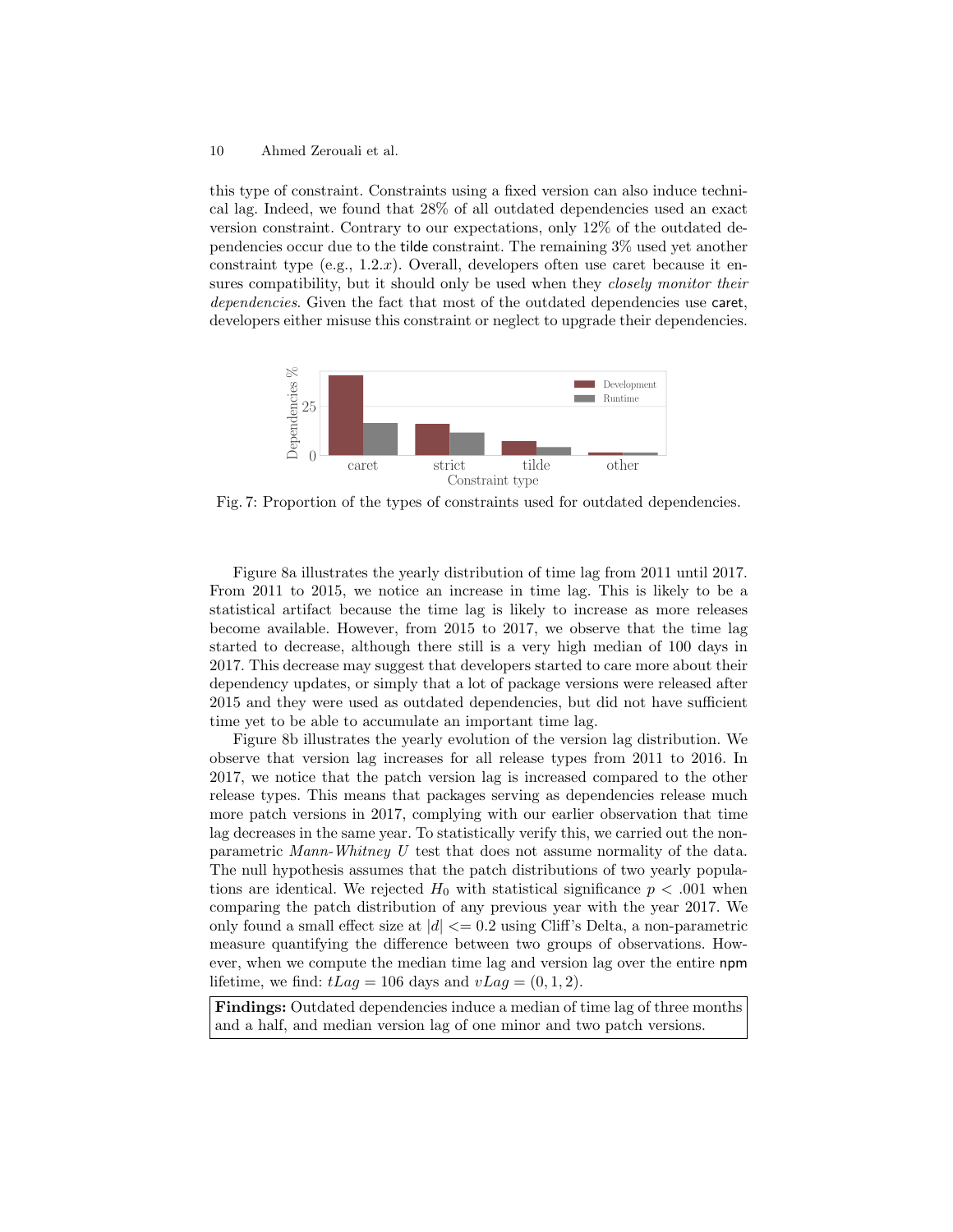this type of constraint. Constraints using a fixed version can also induce technical lag. Indeed, we found that 28% of all outdated dependencies used an exact version constraint. Contrary to our expectations, only 12% of the outdated dependencies occur due to the tilde constraint. The remaining 3% used yet another constraint type (e.g.,  $1.2.x$ ). Overall, developers often use caret because it ensures compatibility, but it should only be used when they *closely monitor their* dependencies. Given the fact that most of the outdated dependencies use caret, developers either misuse this constraint or neglect to upgrade their dependencies.



Fig. 7: Proportion of the types of constraints used for outdated dependencies.

Figure 8a illustrates the yearly distribution of time lag from 2011 until 2017. From 2011 to 2015, we notice an increase in time lag. This is likely to be a statistical artifact because the time lag is likely to increase as more releases become available. However, from 2015 to 2017, we observe that the time lag started to decrease, although there still is a very high median of 100 days in 2017. This decrease may suggest that developers started to care more about their dependency updates, or simply that a lot of package versions were released after 2015 and they were used as outdated dependencies, but did not have sufficient time yet to be able to accumulate an important time lag.

Figure 8b illustrates the yearly evolution of the version lag distribution. We observe that version lag increases for all release types from 2011 to 2016. In 2017, we notice that the patch version lag is increased compared to the other release types. This means that packages serving as dependencies release much more patch versions in 2017, complying with our earlier observation that time lag decreases in the same year. To statistically verify this, we carried out the nonparametric Mann-Whitney U test that does not assume normality of the data. The null hypothesis assumes that the patch distributions of two yearly populations are identical. We rejected  $H_0$  with statistical significance  $p < .001$  when comparing the patch distribution of any previous year with the year 2017. We only found a small effect size at  $|d| \leq 0.2$  using Cliff's Delta, a non-parametric measure quantifying the difference between two groups of observations. However, when we compute the median time lag and version lag over the entire npm lifetime, we find:  $tLag = 106$  days and  $vLag = (0, 1, 2)$ .

Findings: Outdated dependencies induce a median of time lag of three months and a half, and median version lag of one minor and two patch versions.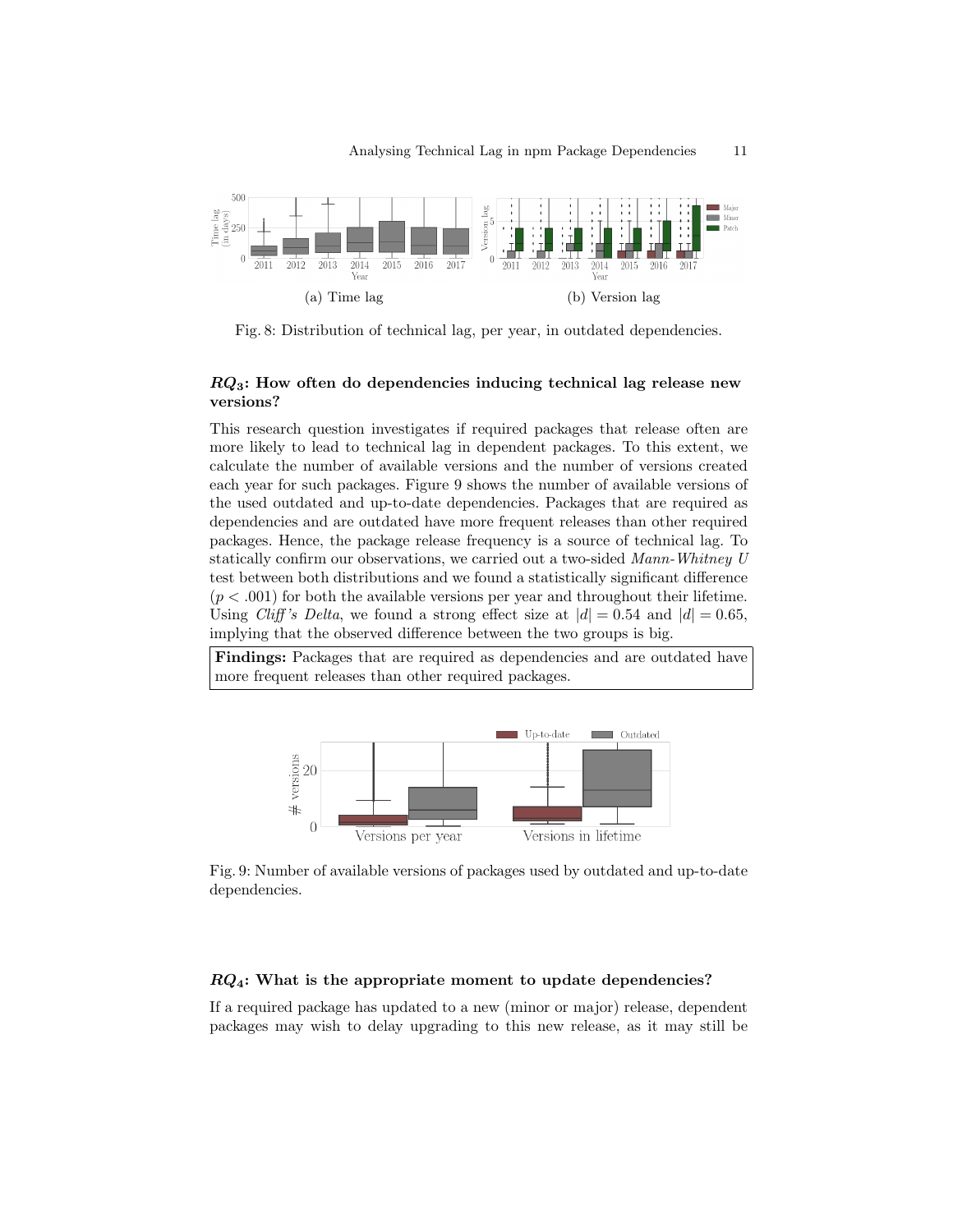

Fig. 8: Distribution of technical lag, per year, in outdated dependencies.

# RQ3: How often do dependencies inducing technical lag release new versions?

This research question investigates if required packages that release often are more likely to lead to technical lag in dependent packages. To this extent, we calculate the number of available versions and the number of versions created each year for such packages. Figure 9 shows the number of available versions of the used outdated and up-to-date dependencies. Packages that are required as dependencies and are outdated have more frequent releases than other required packages. Hence, the package release frequency is a source of technical lag. To statically confirm our observations, we carried out a two-sided Mann-Whitney U test between both distributions and we found a statistically significant difference  $(p < .001)$  for both the available versions per year and throughout their lifetime. Using *Cliff's Delta*, we found a strong effect size at  $|d| = 0.54$  and  $|d| = 0.65$ , implying that the observed difference between the two groups is big.

Findings: Packages that are required as dependencies and are outdated have more frequent releases than other required packages.



Fig. 9: Number of available versions of packages used by outdated and up-to-date dependencies.

### $RQ_4$ : What is the appropriate moment to update dependencies?

If a required package has updated to a new (minor or major) release, dependent packages may wish to delay upgrading to this new release, as it may still be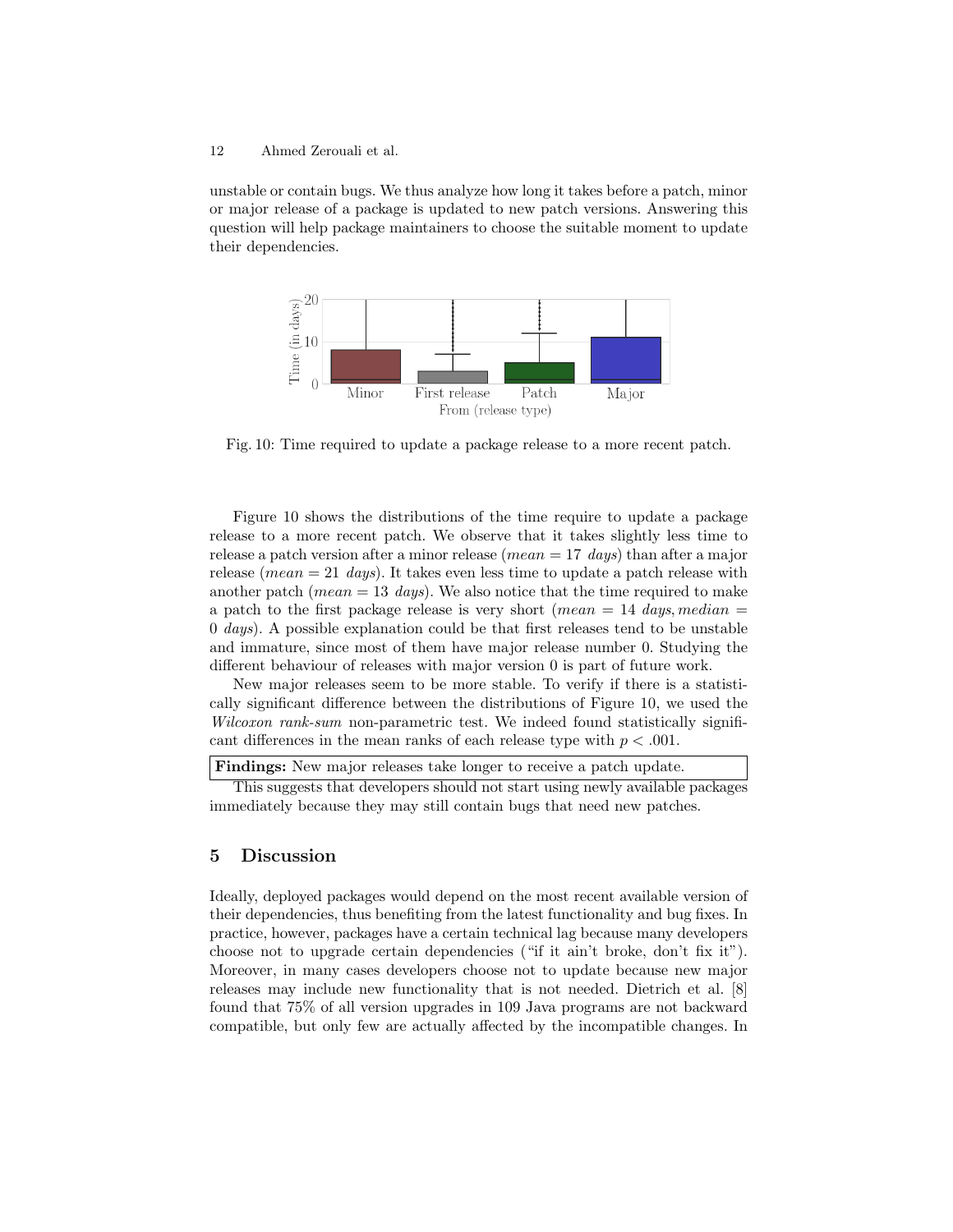unstable or contain bugs. We thus analyze how long it takes before a patch, minor or major release of a package is updated to new patch versions. Answering this question will help package maintainers to choose the suitable moment to update their dependencies.



Fig. 10: Time required to update a package release to a more recent patch.

Figure 10 shows the distributions of the time require to update a package release to a more recent patch. We observe that it takes slightly less time to release a patch version after a minor release (*mean* = 17 *days*) than after a major release (mean  $= 21$  days). It takes even less time to update a patch release with another patch (*mean* = 13 *days*). We also notice that the time required to make a patch to the first package release is very short (mean  $= 14$  days, median  $=$ 0 days). A possible explanation could be that first releases tend to be unstable and immature, since most of them have major release number 0. Studying the different behaviour of releases with major version 0 is part of future work.

New major releases seem to be more stable. To verify if there is a statistically significant difference between the distributions of Figure 10, we used the Wilcoxon rank-sum non-parametric test. We indeed found statistically significant differences in the mean ranks of each release type with  $p < .001$ .

| Findings: New major releases take longer to receive a patch update. |  |  |  |  |  |  |  |  |  |  |
|---------------------------------------------------------------------|--|--|--|--|--|--|--|--|--|--|
|---------------------------------------------------------------------|--|--|--|--|--|--|--|--|--|--|

This suggests that developers should not start using newly available packages immediately because they may still contain bugs that need new patches.

# 5 Discussion

Ideally, deployed packages would depend on the most recent available version of their dependencies, thus benefiting from the latest functionality and bug fixes. In practice, however, packages have a certain technical lag because many developers choose not to upgrade certain dependencies ("if it ain't broke, don't fix it"). Moreover, in many cases developers choose not to update because new major releases may include new functionality that is not needed. Dietrich et al. [8] found that 75% of all version upgrades in 109 Java programs are not backward compatible, but only few are actually affected by the incompatible changes. In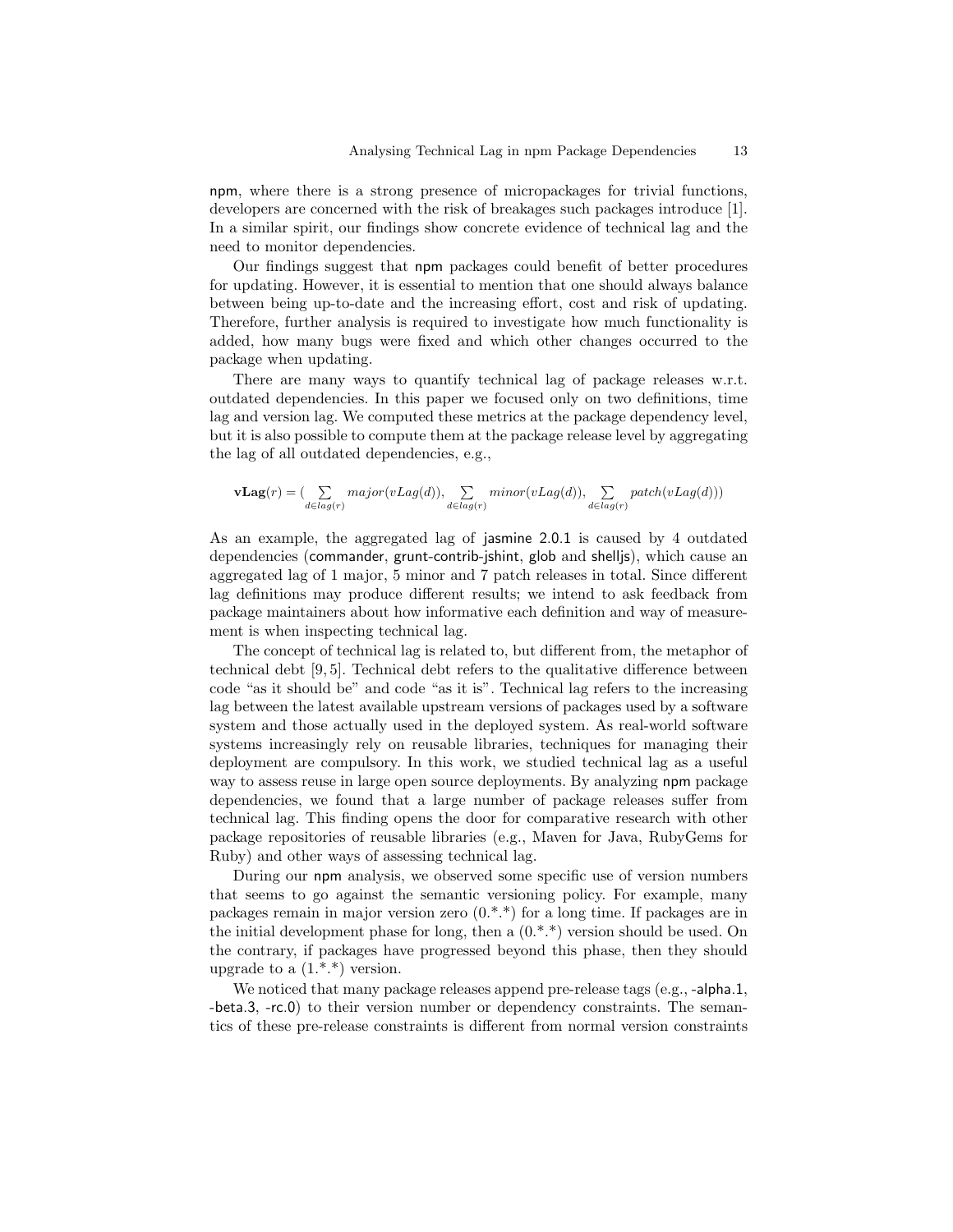npm, where there is a strong presence of micropackages for trivial functions, developers are concerned with the risk of breakages such packages introduce [1]. In a similar spirit, our findings show concrete evidence of technical lag and the need to monitor dependencies.

Our findings suggest that npm packages could benefit of better procedures for updating. However, it is essential to mention that one should always balance between being up-to-date and the increasing effort, cost and risk of updating. Therefore, further analysis is required to investigate how much functionality is added, how many bugs were fixed and which other changes occurred to the package when updating.

There are many ways to quantify technical lag of package releases w.r.t. outdated dependencies. In this paper we focused only on two definitions, time lag and version lag. We computed these metrics at the package dependency level, but it is also possible to compute them at the package release level by aggregating the lag of all outdated dependencies, e.g.,

$$
\mathbf{vLag}(r) = (\sum_{d \in lag(r)} major(vLag(d)), \sum_{d \in lag(r)}minor(vLag(d)), \sum_{d \in lag(r)}patch(vLag(d)))
$$

As an example, the aggregated lag of jasmine 2.0.1 is caused by 4 outdated dependencies (commander, grunt-contrib-jshint, glob and shelljs), which cause an aggregated lag of 1 major, 5 minor and 7 patch releases in total. Since different lag definitions may produce different results; we intend to ask feedback from package maintainers about how informative each definition and way of measurement is when inspecting technical lag.

The concept of technical lag is related to, but different from, the metaphor of technical debt [9, 5]. Technical debt refers to the qualitative difference between code "as it should be" and code "as it is". Technical lag refers to the increasing lag between the latest available upstream versions of packages used by a software system and those actually used in the deployed system. As real-world software systems increasingly rely on reusable libraries, techniques for managing their deployment are compulsory. In this work, we studied technical lag as a useful way to assess reuse in large open source deployments. By analyzing npm package dependencies, we found that a large number of package releases suffer from technical lag. This finding opens the door for comparative research with other package repositories of reusable libraries (e.g., Maven for Java, RubyGems for Ruby) and other ways of assessing technical lag.

During our npm analysis, we observed some specific use of version numbers that seems to go against the semantic versioning policy. For example, many packages remain in major version zero (0.\*.\*) for a long time. If packages are in the initial development phase for long, then a  $(0,*,*)$  version should be used. On the contrary, if packages have progressed beyond this phase, then they should upgrade to a  $(1.*.*)$  version.

We noticed that many package releases append pre-release tags (e.g., -alpha.1, -beta.3, -rc.0) to their version number or dependency constraints. The semantics of these pre-release constraints is different from normal version constraints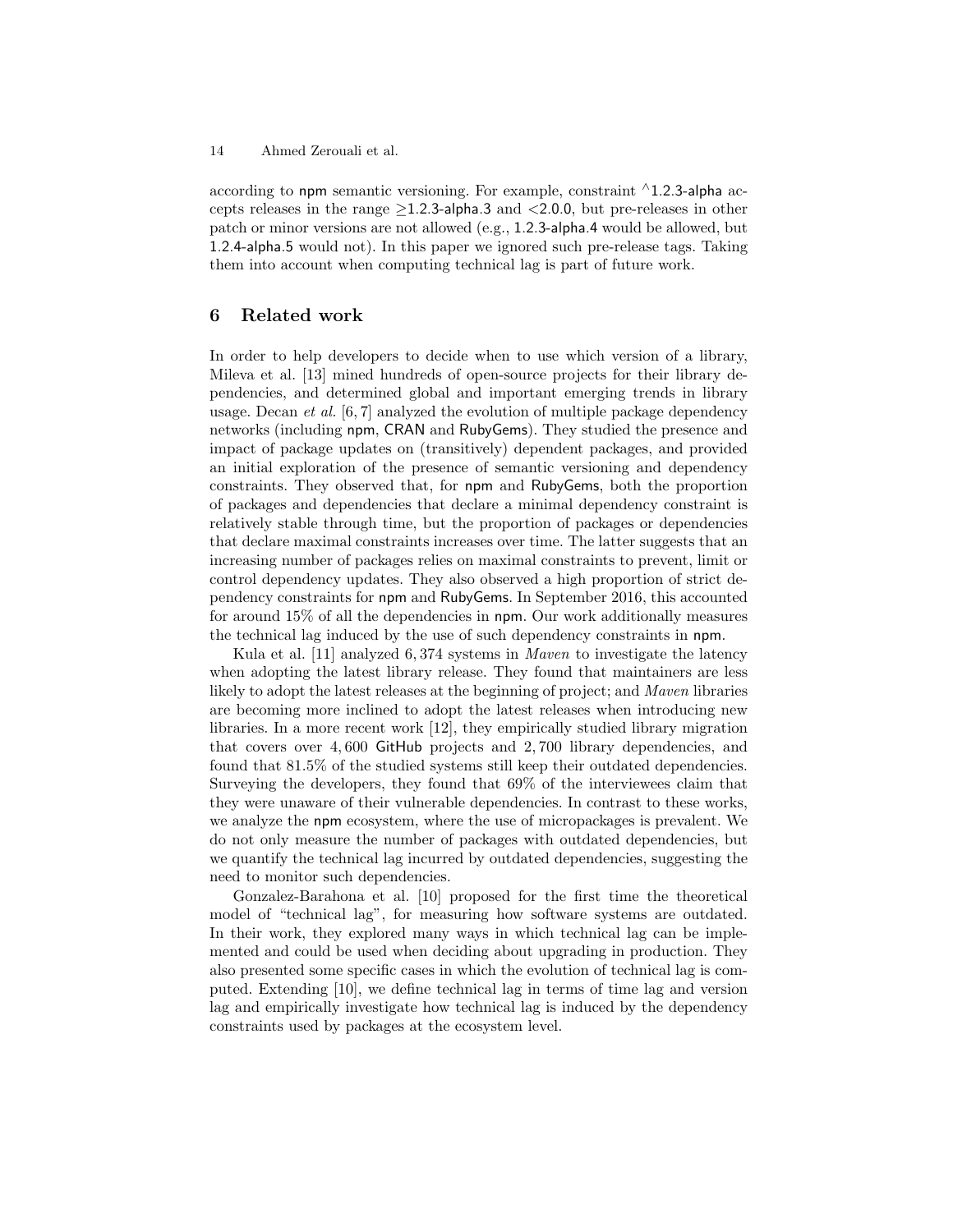according to npm semantic versioning. For example, constraint  $\wedge$ 1.2.3-alpha accepts releases in the range  $\geq$ 1.2.3-alpha.3 and <2.0.0, but pre-releases in other patch or minor versions are not allowed (e.g., 1.2.3-alpha.4 would be allowed, but 1.2.4-alpha.5 would not). In this paper we ignored such pre-release tags. Taking them into account when computing technical lag is part of future work.

# 6 Related work

In order to help developers to decide when to use which version of a library, Mileva et al. [13] mined hundreds of open-source projects for their library dependencies, and determined global and important emerging trends in library usage. Decan et al. [6, 7] analyzed the evolution of multiple package dependency networks (including npm, CRAN and RubyGems). They studied the presence and impact of package updates on (transitively) dependent packages, and provided an initial exploration of the presence of semantic versioning and dependency constraints. They observed that, for npm and RubyGems, both the proportion of packages and dependencies that declare a minimal dependency constraint is relatively stable through time, but the proportion of packages or dependencies that declare maximal constraints increases over time. The latter suggests that an increasing number of packages relies on maximal constraints to prevent, limit or control dependency updates. They also observed a high proportion of strict dependency constraints for npm and RubyGems. In September 2016, this accounted for around 15% of all the dependencies in npm. Our work additionally measures the technical lag induced by the use of such dependency constraints in npm.

Kula et al. [11] analyzed 6,374 systems in *Maven* to investigate the latency when adopting the latest library release. They found that maintainers are less likely to adopt the latest releases at the beginning of project; and Maven libraries are becoming more inclined to adopt the latest releases when introducing new libraries. In a more recent work [12], they empirically studied library migration that covers over 4, 600 GitHub projects and 2, 700 library dependencies, and found that 81.5% of the studied systems still keep their outdated dependencies. Surveying the developers, they found that 69% of the interviewees claim that they were unaware of their vulnerable dependencies. In contrast to these works, we analyze the npm ecosystem, where the use of micropackages is prevalent. We do not only measure the number of packages with outdated dependencies, but we quantify the technical lag incurred by outdated dependencies, suggesting the need to monitor such dependencies.

Gonzalez-Barahona et al. [10] proposed for the first time the theoretical model of "technical lag", for measuring how software systems are outdated. In their work, they explored many ways in which technical lag can be implemented and could be used when deciding about upgrading in production. They also presented some specific cases in which the evolution of technical lag is computed. Extending [10], we define technical lag in terms of time lag and version lag and empirically investigate how technical lag is induced by the dependency constraints used by packages at the ecosystem level.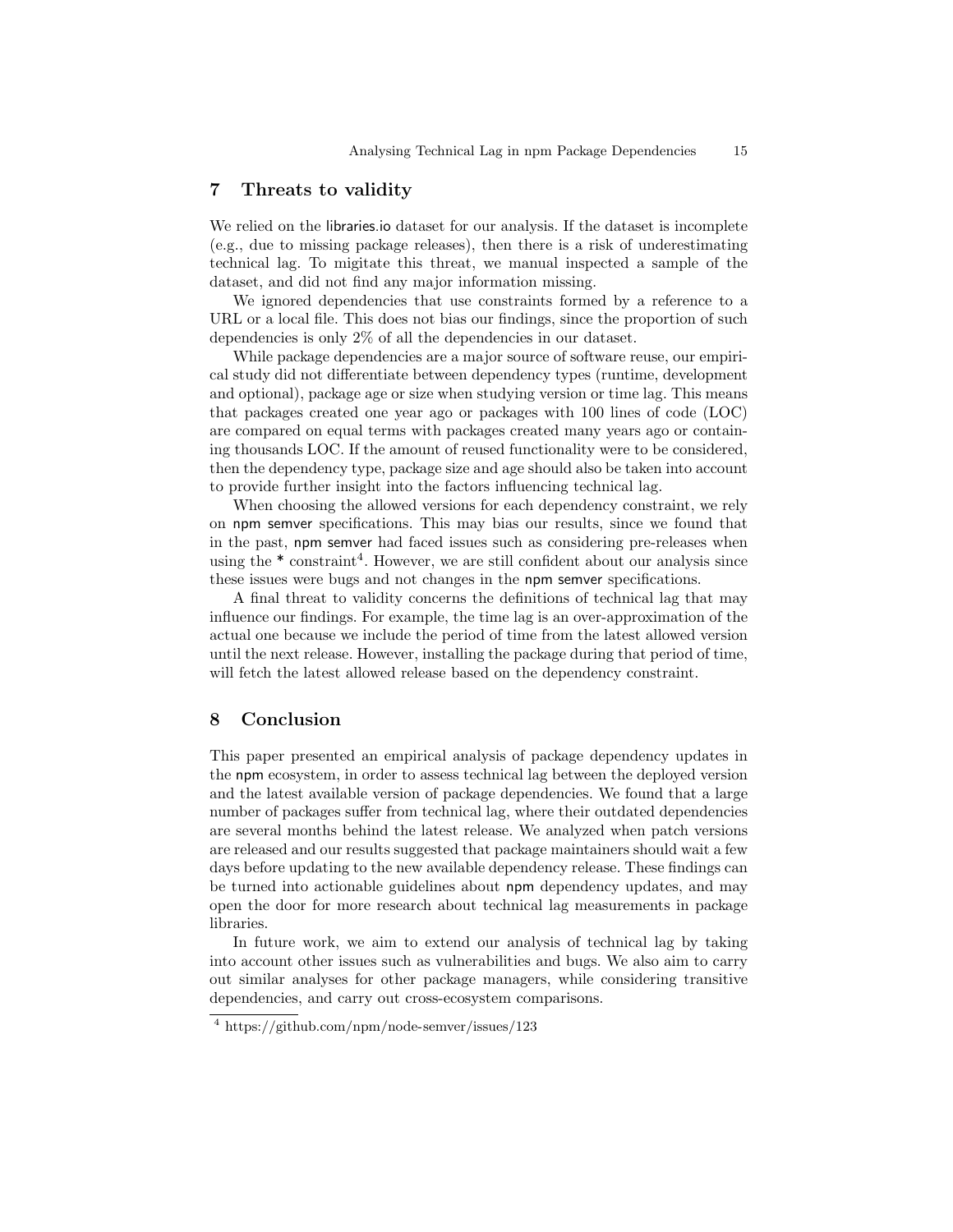### 7 Threats to validity

We relied on the libraries.io dataset for our analysis. If the dataset is incomplete (e.g., due to missing package releases), then there is a risk of underestimating technical lag. To migitate this threat, we manual inspected a sample of the dataset, and did not find any major information missing.

We ignored dependencies that use constraints formed by a reference to a URL or a local file. This does not bias our findings, since the proportion of such dependencies is only 2% of all the dependencies in our dataset.

While package dependencies are a major source of software reuse, our empirical study did not differentiate between dependency types (runtime, development and optional), package age or size when studying version or time lag. This means that packages created one year ago or packages with 100 lines of code (LOC) are compared on equal terms with packages created many years ago or containing thousands LOC. If the amount of reused functionality were to be considered, then the dependency type, package size and age should also be taken into account to provide further insight into the factors influencing technical lag.

When choosing the allowed versions for each dependency constraint, we rely on npm semver specifications. This may bias our results, since we found that in the past, npm semver had faced issues such as considering pre-releases when using the  $*$  constraint<sup>4</sup>. However, we are still confident about our analysis since these issues were bugs and not changes in the npm semver specifications.

A final threat to validity concerns the definitions of technical lag that may influence our findings. For example, the time lag is an over-approximation of the actual one because we include the period of time from the latest allowed version until the next release. However, installing the package during that period of time, will fetch the latest allowed release based on the dependency constraint.

### 8 Conclusion

This paper presented an empirical analysis of package dependency updates in the npm ecosystem, in order to assess technical lag between the deployed version and the latest available version of package dependencies. We found that a large number of packages suffer from technical lag, where their outdated dependencies are several months behind the latest release. We analyzed when patch versions are released and our results suggested that package maintainers should wait a few days before updating to the new available dependency release. These findings can be turned into actionable guidelines about npm dependency updates, and may open the door for more research about technical lag measurements in package libraries.

In future work, we aim to extend our analysis of technical lag by taking into account other issues such as vulnerabilities and bugs. We also aim to carry out similar analyses for other package managers, while considering transitive dependencies, and carry out cross-ecosystem comparisons.

<sup>4</sup> https://github.com/npm/node-semver/issues/123